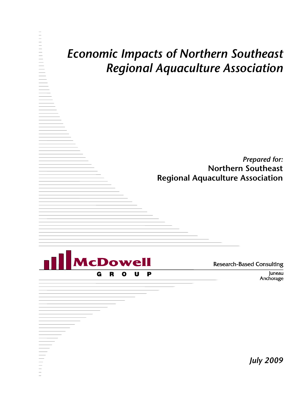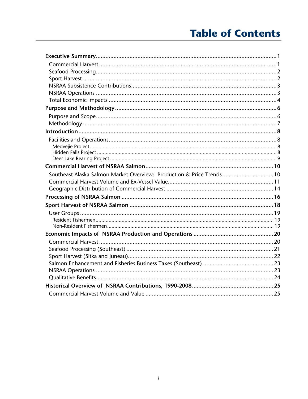# **Table of Contents**

| Southeast Alaska Salmon Market Overview: Production & Price Trends10 |  |
|----------------------------------------------------------------------|--|
|                                                                      |  |
|                                                                      |  |
|                                                                      |  |
|                                                                      |  |
|                                                                      |  |
|                                                                      |  |
|                                                                      |  |
|                                                                      |  |
|                                                                      |  |
|                                                                      |  |
|                                                                      |  |
|                                                                      |  |
|                                                                      |  |
|                                                                      |  |
|                                                                      |  |
|                                                                      |  |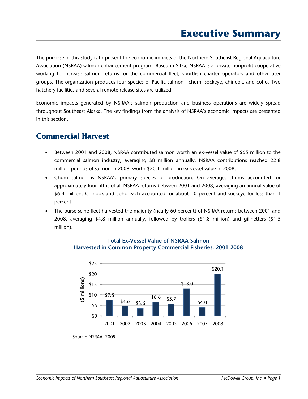The purpose of this study is to present the economic impacts of the Northern Southeast Regional Aquaculture Association (NSRAA) salmon enhancement program. Based in Sitka, NSRAA is a private nonprofit cooperative working to increase salmon returns for the commercial fleet, sportfish charter operators and other user groups. The organization produces four species of Pacific salmon—chum, sockeye, chinook, and coho. Two hatchery facilities and several remote release sites are utilized.

Economic impacts generated by NSRAA's salmon production and business operations are widely spread throughout Southeast Alaska. The key findings from the analysis of NSRAA's economic impacts are presented in this section.

## **Commercial Harvest**

- Between 2001 and 2008, NSRAA contributed salmon worth an ex-vessel value of \$65 million to the commercial salmon industry, averaging \$8 million annually. NSRAA contributions reached 22.8 million pounds of salmon in 2008, worth \$20.1 million in ex-vessel value in 2008.
- Chum salmon is NSRAA's primary species of production. On average, chums accounted for approximately four-fifths of all NSRAA returns between 2001 and 2008, averaging an annual value of \$6.4 million. Chinook and coho each accounted for about 10 percent and sockeye for less than 1 percent.
- The purse seine fleet harvested the majority (nearly 60 percent) of NSRAA returns between 2001 and 2008, averaging \$4.8 million annually, followed by trollers (\$1.8 million) and gillnetters (\$1.5 million).



## **Total Ex-Vessel Value of NSRAA Salmon Harvested in Common Property Commercial Fisheries, 2001-2008**

Source: NSRAA, 2009.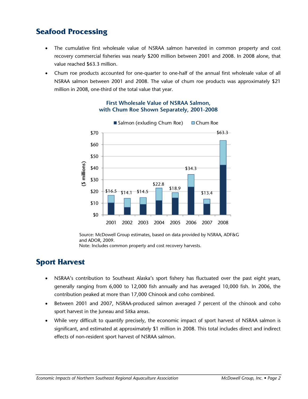# **Seafood Processing**

- The cumulative first wholesale value of NSRAA salmon harvested in common property and cost recovery commercial fisheries was nearly \$200 million between 2001 and 2008. In 2008 alone, that value reached \$63.3 million.
- Chum roe products accounted for one-quarter to one-half of the annual first wholesale value of all NSRAA salmon between 2001 and 2008. The value of chum roe products was approximately \$21 million in 2008, one-third of the total value that year.



#### **First Wholesale Value of NSRAA Salmon, with Chum Roe Shown Separately, 2001-2008**

Source: McDowell Group estimates, based on data provided by NSRAA, ADF&G and ADOR, 2009. Note: Includes common property and cost recovery harvests.

## **Sport Harvest**

- NSRAA's contribution to Southeast Alaska's sport fishery has fluctuated over the past eight years, generally ranging from 6,000 to 12,000 fish annually and has averaged 10,000 fish. In 2006, the contribution peaked at more than 17,000 Chinook and coho combined.
- Between 2001 and 2007, NSRAA-produced salmon averaged 7 percent of the chinook and coho sport harvest in the Juneau and Sitka areas.
- While very difficult to quantify precisely, the economic impact of sport harvest of NSRAA salmon is significant, and estimated at approximately \$1 million in 2008. This total includes direct and indirect effects of non-resident sport harvest of NSRAA salmon.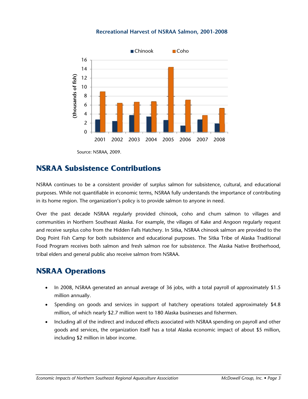#### **Recreational Harvest of NSRAA Salmon, 2001-2008**



Source: NSRAA, 2009.

## **NSRAA Subsistence Contributions**

NSRAA continues to be a consistent provider of surplus salmon for subsistence, cultural, and educational purposes. While not quantifiable in economic terms, NSRAA fully understands the importance of contributing in its home region. The organization's policy is to provide salmon to anyone in need.

Over the past decade NSRAA regularly provided chinook, coho and chum salmon to villages and communities in Northern Southeast Alaska. For example, the villages of Kake and Angoon regularly request and receive surplus coho from the Hidden Falls Hatchery. In Sitka, NSRAA chinook salmon are provided to the Dog Point Fish Camp for both subsistence and educational purposes. The Sitka Tribe of Alaska Traditional Food Program receives both salmon and fresh salmon roe for subsistence. The Alaska Native Brotherhood, tribal elders and general public also receive salmon from NSRAA.

## **NSRAA Operations**

- In 2008, NSRAA generated an annual average of 36 jobs, with a total payroll of approximately \$1.5 million annually.
- Spending on goods and services in support of hatchery operations totaled approximately \$4.8 million, of which nearly \$2.7 million went to 180 Alaska businesses and fishermen.
- Including all of the indirect and induced effects associated with NSRAA spending on payroll and other goods and services, the organization itself has a total Alaska economic impact of about \$5 million, including \$2 million in labor income.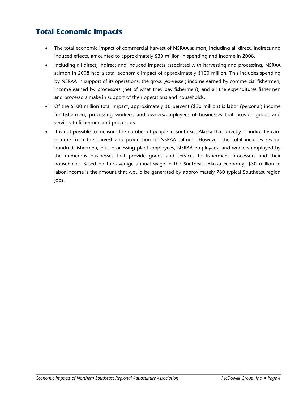# **Total Economic Impacts**

- The total economic impact of commercial harvest of NSRAA salmon, including all direct, indirect and induced effects, amounted to approximately \$30 million in spending and income in 2008.
- Including all direct, indirect and induced impacts associated with harvesting and processing, NSRAA salmon in 2008 had a total economic impact of approximately \$100 million. This includes spending by NSRAA in support of its operations, the gross (ex-vessel) income earned by commercial fishermen, income earned by processors (net of what they pay fishermen), and all the expenditures fishermen and processors make in support of their operations and households.
- Of the \$100 million total impact, approximately 30 percent (\$30 million) is labor (personal) income for fishermen, processing workers, and owners/employees of businesses that provide goods and services to fishermen and processors.
- It is not possible to measure the number of people in Southeast Alaska that directly or indirectly earn income from the harvest and production of NSRAA salmon. However, the total includes several hundred fishermen, plus processing plant employees, NSRAA employees, and workers employed by the numerous businesses that provide goods and services to fishermen, processors and their households. Based on the average annual wage in the Southeast Alaska economy, \$30 million in labor income is the amount that would be generated by approximately 780 typical Southeast region jobs.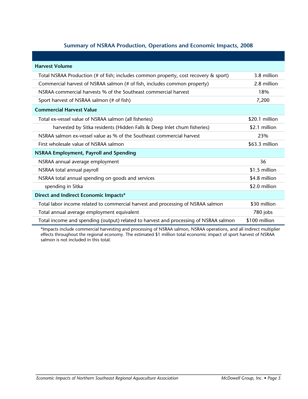## **Summary of NSRAA Production, Operations and Economic Impacts, 2008**

| <b>Harvest Volume</b>                                                                |                |  |
|--------------------------------------------------------------------------------------|----------------|--|
| Total NSRAA Production (# of fish; includes common property, cost recovery & sport)  | 3.8 million    |  |
| Commercial harvest of NSRAA salmon (# of fish, includes common property)             | 2.8 million    |  |
| NSRAA commercial harvests % of the Southeast commercial harvest                      | 18%            |  |
| Sport harvest of NSRAA salmon (# of fish)                                            | 7,200          |  |
| <b>Commercial Harvest Value</b>                                                      |                |  |
| Total ex-vessel value of NSRAA salmon (all fisheries)                                | \$20.1 million |  |
| harvested by Sitka residents (Hidden Falls & Deep Inlet chum fisheries)              | \$2.1 million  |  |
| NSRAA salmon ex-vessel value as % of the Southeast commercial harvest                | 23%            |  |
| First wholesale value of NSRAA salmon                                                | \$63.3 million |  |
| <b>NSRAA Employment, Payroll and Spending</b>                                        |                |  |
| NSRAA annual average employment                                                      | 36             |  |
| NSRAA total annual payroll                                                           | \$1.5 million  |  |
| NSRAA total annual spending on goods and services                                    | \$4.8 million  |  |
| spending in Sitka                                                                    | \$2.0 million  |  |
| Direct and Indirect Economic Impacts*                                                |                |  |
| Total labor income related to commercial harvest and processing of NSRAA salmon      | \$30 million   |  |
| Total annual average employment equivalent                                           | 780 jobs       |  |
| Total income and spending (output) related to harvest and processing of NSRAA salmon | \$100 million  |  |

\*Impacts include commercial harvesting and processing of NSRAA salmon, NSRAA operations, and all indirect multiplier effects throughout the regional economy. The estimated \$1 million total economic impact of sport harvest of NSRAA salmon is not included in this total.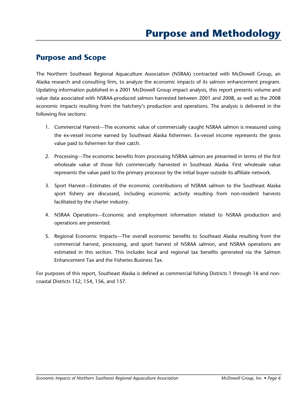## **Purpose and Scope**

The Northern Southeast Regional Aquaculture Association (NSRAA) contracted with McDowell Group, an Alaska research and consulting firm, to analyze the economic impacts of its salmon enhancement program. Updating information published in a 2001 McDowell Group impact analysis, this report presents volume and value data associated with NSRAA-produced salmon harvested between 2001 and 2008, as well as the 2008 economic impacts resulting from the hatchery's production and operations. The analysis is delivered in the following five sections:

- 1. Commercial Harvest—The economic value of commercially caught NSRAA salmon is measured using the ex-vessel income earned by Southeast Alaska fishermen. Ex-vessel income represents the gross value paid to fishermen for their catch.
- 2. Processing—The economic benefits from processing NSRAA salmon are presented in terms of the first wholesale value of those fish commercially harvested in Southeast Alaska. First wholesale value represents the value paid to the primary processor by the initial buyer outside its affiliate network.
- 3. Sport Harvest—Estimates of the economic contributions of NSRAA salmon to the Southeast Alaska sport fishery are discussed, including economic activity resulting from non-resident harvests facilitated by the charter industry.
- 4. NSRAA Operations—Economic and employment information related to NSRAA production and operations are presented.
- 5. Regional Economic Impacts—The overall economic benefits to Southeast Alaska resulting from the commercial harvest, processing, and sport harvest of NSRAA salmon, and NSRAA operations are estimated in this section. This includes local and regional tax benefits generated via the Salmon Enhancement Tax and the Fisheries Business Tax.

For purposes of this report, Southeast Alaska is defined as commercial fishing Districts 1 through 16 and noncoastal Districts 152, 154, 156, and 157.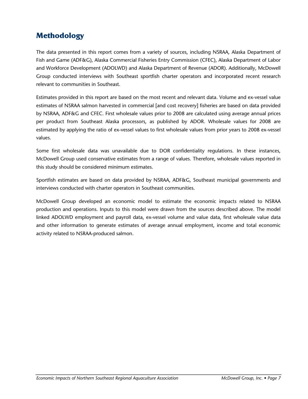# **Methodology**

The data presented in this report comes from a variety of sources, including NSRAA, Alaska Department of Fish and Game (ADF&G), Alaska Commercial Fisheries Entry Commission (CFEC), Alaska Department of Labor and Workforce Development (ADOLWD) and Alaska Department of Revenue (ADOR). Additionally, McDowell Group conducted interviews with Southeast sportfish charter operators and incorporated recent research relevant to communities in Southeast.

Estimates provided in this report are based on the most recent and relevant data. Volume and ex-vessel value estimates of NSRAA salmon harvested in commercial [and cost recovery] fisheries are based on data provided by NSRAA, ADF&G and CFEC. First wholesale values prior to 2008 are calculated using average annual prices per product from Southeast Alaska processors, as published by ADOR. Wholesale values for 2008 are estimated by applying the ratio of ex-vessel values to first wholesale values from prior years to 2008 ex-vessel values.

Some first wholesale data was unavailable due to DOR confidentiality regulations. In these instances, McDowell Group used conservative estimates from a range of values. Therefore, wholesale values reported in this study should be considered minimum estimates.

Sportfish estimates are based on data provided by NSRAA, ADF&G, Southeast municipal governments and interviews conducted with charter operators in Southeast communities.

McDowell Group developed an economic model to estimate the economic impacts related to NSRAA production and operations. Inputs to this model were drawn from the sources described above. The model linked ADOLWD employment and payroll data, ex-vessel volume and value data, first wholesale value data and other information to generate estimates of average annual employment, income and total economic activity related to NSRAA-produced salmon.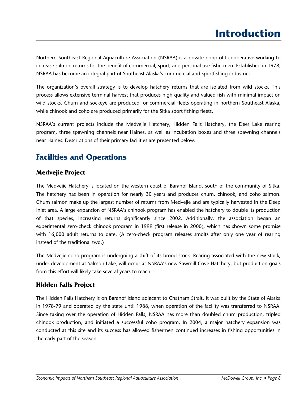Northern Southeast Regional Aquaculture Association (NSRAA) is a private nonprofit cooperative working to increase salmon returns for the benefit of commercial, sport, and personal use fishermen. Established in 1978, NSRAA has become an integral part of Southeast Alaska's commercial and sportfishing industries.

The organization's overall strategy is to develop hatchery returns that are isolated from wild stocks. This process allows extensive terminal harvest that produces high quality and valued fish with minimal impact on wild stocks. Chum and sockeye are produced for commercial fleets operating in northern Southeast Alaska, while chinook and coho are produced primarily for the Sitka sport fishing fleets.

NSRAA's current projects include the Medvejie Hatchery, Hidden Falls Hatchery, the Deer Lake rearing program, three spawning channels near Haines, as well as incubation boxes and three spawning channels near Haines. Descriptions of their primary facilities are presented below.

# **Facilities and Operations**

## **Medvejie Project**

The Medvejie Hatchery is located on the western coast of Baranof Island, south of the community of Sitka. The hatchery has been in operation for nearly 30 years and produces chum, chinook, and coho salmon. Chum salmon make up the largest number of returns from Medvejie and are typically harvested in the Deep Inlet area. A large expansion of NSRAA's chinook program has enabled the hatchery to double its production of that species, increasing returns significantly since 2002. Additionally, the association began an experimental zero-check chinook program in 1999 (first release in 2000), which has shown some promise with 16,000 adult returns to date. (A zero-check program releases smolts after only one year of rearing instead of the traditional two.)

The Medvejie coho program is undergoing a shift of its brood stock. Rearing associated with the new stock, under development at Salmon Lake, will occur at NSRAA's new Sawmill Cove Hatchery, but production goals from this effort will likely take several years to reach.

## **Hidden Falls Project**

The Hidden Falls Hatchery is on Baranof Island adjacent to Chatham Strait. It was built by the State of Alaska in 1978-79 and operated by the state until 1988, when operation of the facility was transferred to NSRAA. Since taking over the operation of Hidden Falls, NSRAA has more than doubled chum production, tripled chinook production, and initiated a successful coho program. In 2004, a major hatchery expansion was conducted at this site and its success has allowed fishermen continued increases in fishing opportunities in the early part of the season.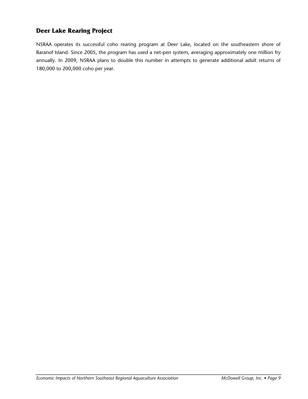## **Deer Lake Rearing Project**

NSRAA operates its successful coho rearing program at Deer Lake, located on the southeastern shore of Baranof Island. Since 2005, the program has used a net-pen system, averaging approximately one million fry annually. In 2009, NSRAA plans to double this number in attempts to generate additional adult returns of 180,000 to 200,000 coho per year.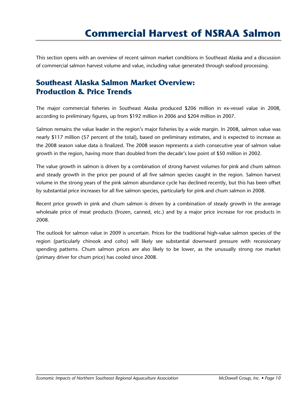This section opens with an overview of recent salmon market conditions in Southeast Alaska and a discussion of commercial salmon harvest volume and value, including value generated through seafood processing.

# **Southeast Alaska Salmon Market Overview: Production & Price Trends**

The major commercial fisheries in Southeast Alaska produced \$206 million in ex-vessel value in 2008, according to preliminary figures, up from \$192 million in 2006 and \$204 million in 2007.

Salmon remains the value leader in the region's major fisheries by a wide margin. In 2008, salmon value was nearly \$117 million (57 percent of the total), based on preliminary estimates, and is expected to increase as the 2008 season value data is finalized. The 2008 season represents a sixth consecutive year of salmon value growth in the region, having more than doubled from the decade's low point of \$50 million in 2002.

The value growth in salmon is driven by a combination of strong harvest volumes for pink and chum salmon and steady growth in the price per pound of all five salmon species caught in the region. Salmon harvest volume in the strong years of the pink salmon abundance cycle has declined recently, but this has been offset by substantial price increases for all five salmon species, particularly for pink and chum salmon in 2008.

Recent price growth in pink and chum salmon is driven by a combination of steady growth in the average wholesale price of meat products (frozen, canned, etc.) and by a major price increase for roe products in 2008.

The outlook for salmon value in 2009 is uncertain. Prices for the traditional high-value salmon species of the region (particularly chinook and coho) will likely see substantial downward pressure with recessionary spending patterns. Chum salmon prices are also likely to be lower, as the unusually strong roe market (primary driver for chum price) has cooled since 2008.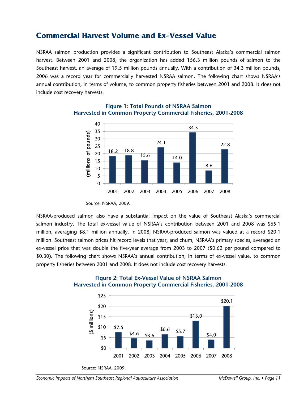## **Commercial Harvest Volume and Ex-Vessel Value**

NSRAA salmon production provides a significant contribution to Southeast Alaska's commercial salmon harvest. Between 2001 and 2008, the organization has added 156.3 million pounds of salmon to the Southeast harvest, an average of 19.5 million pounds annually. With a contribution of 34.3 million pounds, 2006 was a record year for commercially harvested NSRAA salmon. The following chart shows NSRAA's annual contribution, in terms of volume, to common property fisheries between 2001 and 2008. It does not include cost recovery harvests.



### **Figure 1: Total Pounds of NSRAA Salmon Harvested in Common Property Commercial Fisheries, 2001-2008**

NSRAA-produced salmon also have a substantial impact on the value of Southeast Alaska's commercial salmon industry. The total ex-vessel value of NSRAA's contribution between 2001 and 2008 was \$65.1 million, averaging \$8.1 million annually. In 2008, NSRAA-produced salmon was valued at a record \$20.1 million. Southeast salmon prices hit record levels that year, and chum, NSRAA's primary species, averaged an ex-vessel price that was double the five-year average from 2003 to 2007 (\$0.62 per pound compared to \$0.30). The following chart shows NSRAA's annual contribution, in terms of ex-vessel value, to common property fisheries between 2001 and 2008. It does not include cost recovery harvests.





Source: NSRAA, 2009.

Source: NSRAA, 2009.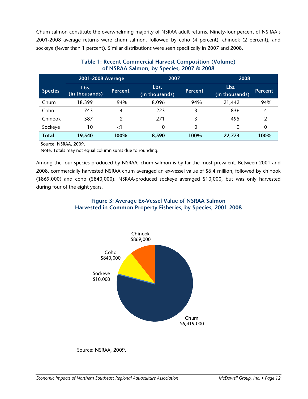Chum salmon constitute the overwhelming majority of NSRAA adult returns. Ninety-four percent of NSRAA's 2001-2008 average returns were chum salmon, followed by coho (4 percent), chinook (2 percent), and sockeye (fewer than 1 percent). Similar distributions were seen specifically in 2007 and 2008.

|                | 2001-2008 Average      |                | 2007                   |                | 2008                   |                |  |
|----------------|------------------------|----------------|------------------------|----------------|------------------------|----------------|--|
| <b>Species</b> | Lbs.<br>(in thousands) | <b>Percent</b> | Lbs.<br>(in thousands) | <b>Percent</b> | Lbs.<br>(in thousands) | <b>Percent</b> |  |
| Chum           | 18,399                 | 94%            | 8,096                  | 94%            | 21,442                 | 94%            |  |
| Coho           | 743                    | 4              | 223                    |                | 836                    | 4              |  |
| Chinook        | 387                    | 2              | 271                    | 3              | 495                    | $\mathcal{P}$  |  |
| Sockeye        | 10                     | ا>             | 0                      | 0              | 0                      | 0              |  |
| <b>Total</b>   | 19,540                 | 100%           | 8.590                  | 100%           | 22,773                 | 100%           |  |

### **Table 1: Recent Commercial Harvest Composition (Volume) of NSRAA Salmon, by Species, 2007 & 2008**

Source: NSRAA, 2009.

Note: Totals may not equal column sums due to rounding.

Among the four species produced by NSRAA, chum salmon is by far the most prevalent. Between 2001 and 2008, commercially harvested NSRAA chum averaged an ex-vessel value of \$6.4 million, followed by chinook (\$869,000) and coho (\$840,000). NSRAA-produced sockeye averaged \$10,000, but was only harvested during four of the eight years.

## **Figure 3: Average Ex-Vessel Value of NSRAA Salmon Harvested in Common Property Fisheries, by Species, 2001-2008**



Source: NSRAA, 2009.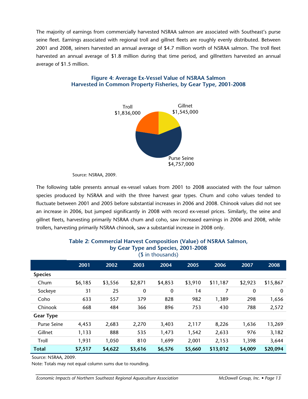The majority of earnings from commercially harvested NSRAA salmon are associated with Southeast's purse seine fleet. Earnings associated with regional troll and gillnet fleets are roughly evenly distributed. Between 2001 and 2008, seiners harvested an annual average of \$4.7 million worth of NSRAA salmon. The troll fleet harvested an annual average of \$1.8 million during that time period, and gillnetters harvested an annual average of \$1.5 million.



#### **Figure 4: Average Ex-Vessel Value of NSRAA Salmon Harvested in Common Property Fisheries, by Gear Type, 2001-2008**

Source: NSRAA, 2009.

The following table presents annual ex-vessel values from 2001 to 2008 associated with the four salmon species produced by NSRAA and with the three harvest gear types. Chum and coho values tended to fluctuate between 2001 and 2005 before substantial increases in 2006 and 2008. Chinook values did not see an increase in 2006, but jumped significantly in 2008 with record ex-vessel prices. Similarly, the seine and gillnet fleets, harvesting primarily NSRAA chum and coho, saw increased earnings in 2006 and 2008, while trollers, harvesting primarily NSRAA chinook, saw a substantial increase in 2008 only.

| - 7 1 -<br>(\$ in thousands) |         |         |         |         |         |          |         |             |  |
|------------------------------|---------|---------|---------|---------|---------|----------|---------|-------------|--|
|                              | 2001    | 2002    | 2003    | 2004    | 2005    | 2006     | 2007    | 2008        |  |
| <b>Species</b>               |         |         |         |         |         |          |         |             |  |
| Chum                         | \$6,185 | \$3,556 | \$2,871 | \$4,853 | \$3,910 | \$11,187 | \$2,923 | \$15,867    |  |
| Sockeye                      | 31      | 25      | 0       | 0       | 14      | 7        | 0       | $\mathbf 0$ |  |
| Coho                         | 633     | 557     | 379     | 828     | 982     | 1,389    | 298     | 1,656       |  |
| Chinook                      | 668     | 484     | 366     | 896     | 753     | 430      | 788     | 2,572       |  |
| <b>Gear Type</b>             |         |         |         |         |         |          |         |             |  |
| <b>Purse Seine</b>           | 4,453   | 2,683   | 2,270   | 3,403   | 2,117   | 8,226    | 1,636   | 13,269      |  |
| Gillnet                      | 1,133   | 888     | 535     | 1,473   | 1,542   | 2,633    | 976     | 3,182       |  |
| Troll                        | 1,931   | 1,050   | 810     | 1,699   | 2,001   | 2,153    | 1,398   | 3,644       |  |
| <b>Total</b>                 | \$7,517 | \$4,622 | \$3,616 | \$6,576 | \$5,660 | \$13,012 | \$4,009 | \$20,094    |  |

## **Table 2: Commercial Harvest Composition (Value) of NSRAA Salmon, by Gear Type and Species, 2001-2008**

Source: NSRAA, 2009.

Note: Totals may not equal column sums due to rounding.

*Economic Impacts of Northern Southeast Regional Aquaculture Association McDowell Group, Inc. • Page 13*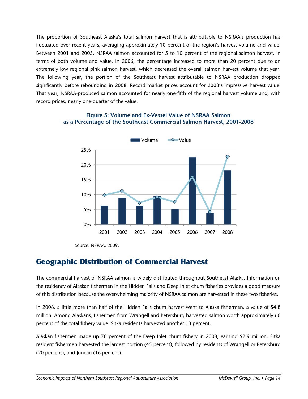The proportion of Southeast Alaska's total salmon harvest that is attributable to NSRAA's production has fluctuated over recent years, averaging approximately 10 percent of the region's harvest volume and value. Between 2001 and 2005, NSRAA salmon accounted for 5 to 10 percent of the regional salmon harvest, in terms of both volume and value. In 2006, the percentage increased to more than 20 percent due to an extremely low regional pink salmon harvest, which decreased the overall salmon harvest volume that year. The following year, the portion of the Southeast harvest attributable to NSRAA production dropped significantly before rebounding in 2008. Record market prices account for 2008's impressive harvest value. That year, NSRAA-produced salmon accounted for nearly one-fifth of the regional harvest volume and, with record prices, nearly one-quarter of the value.

#### **Figure 5: Volume and Ex-Vessel Value of NSRAA Salmon as a Percentage of the Southeast Commercial Salmon Harvest, 2001-2008**



Source: NSRAA, 2009.

## **Geographic Distribution of Commercial Harvest**

The commercial harvest of NSRAA salmon is widely distributed throughout Southeast Alaska. Information on the residency of Alaskan fishermen in the Hidden Falls and Deep Inlet chum fisheries provides a good measure of this distribution because the overwhelming majority of NSRAA salmon are harvested in these two fisheries.

In 2008, a little more than half of the Hidden Falls chum harvest went to Alaska fishermen, a value of \$4.8 million. Among Alaskans, fishermen from Wrangell and Petersburg harvested salmon worth approximately 60 percent of the total fishery value. Sitka residents harvested another 13 percent.

Alaskan fishermen made up 70 percent of the Deep Inlet chum fishery in 2008, earning \$2.9 million. Sitka resident fishermen harvested the largest portion (45 percent), followed by residents of Wrangell or Petersburg (20 percent), and Juneau (16 percent).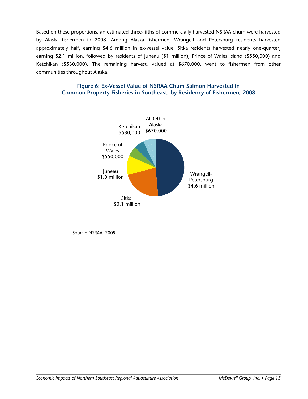Based on these proportions, an estimated three-fifths of commercially harvested NSRAA chum were harvested by Alaska fishermen in 2008. Among Alaska fishermen, Wrangell and Petersburg residents harvested approximately half, earning \$4.6 million in ex-vessel value. Sitka residents harvested nearly one-quarter, earning \$2.1 million, followed by residents of Juneau (\$1 million), Prince of Wales Island (\$550,000) and Ketchikan (\$530,000). The remaining harvest, valued at \$670,000, went to fishermen from other communities throughout Alaska.

#### **Figure 6: Ex-Vessel Value of NSRAA Chum Salmon Harvested in Common Property Fisheries in Southeast, by Residency of Fishermen, 2008**



Source: NSRAA, 2009.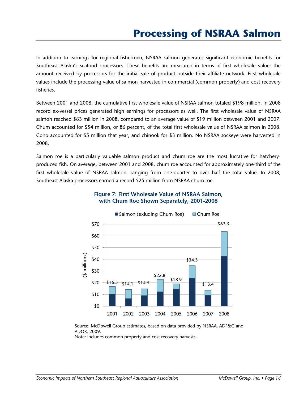In addition to earnings for regional fishermen, NSRAA salmon generates significant economic benefits for Southeast Alaska's seafood processors. These benefits are measured in terms of first wholesale value: the amount received by processors for the initial sale of product outside their affiliate network. First wholesale values include the processing value of salmon harvested in commercial (common property) and cost recovery fisheries.

Between 2001 and 2008, the cumulative first wholesale value of NSRAA salmon totaled \$198 million. In 2008 record ex-vessel prices generated high earnings for processors as well. The first wholesale value of NSRAA salmon reached \$63 million in 2008, compared to an average value of \$19 million between 2001 and 2007. Chum accounted for \$54 million, or 86 percent, of the total first wholesale value of NSRAA salmon in 2008. Coho accounted for \$5 million that year, and chinook for \$3 million. No NSRAA sockeye were harvested in 2008.

Salmon roe is a particularly valuable salmon product and chum roe are the most lucrative for hatcheryproduced fish. On average, between 2001 and 2008, chum roe accounted for approximately one-third of the first wholesale value of NSRAA salmon, ranging from one-quarter to over half the total value. In 2008, Southeast Alaska processors earned a record \$25 million from NSRAA chum roe.



### **Figure 7: First Wholesale Value of NSRAA Salmon, with Chum Roe Shown Separately, 2001-2008**

Source: McDowell Group estimates, based on data provided by NSRAA, ADF&G and ADOR, 2009.

Note: Includes common property and cost recovery harvests.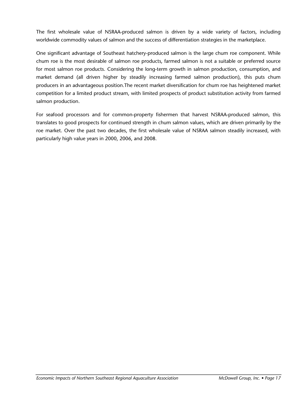The first wholesale value of NSRAA-produced salmon is driven by a wide variety of factors, including worldwide commodity values of salmon and the success of differentiation strategies in the marketplace.

One significant advantage of Southeast hatchery-produced salmon is the large chum roe component. While chum roe is the most desirable of salmon roe products, farmed salmon is not a suitable or preferred source for most salmon roe products. Considering the long-term growth in salmon production, consumption, and market demand (all driven higher by steadily increasing farmed salmon production), this puts chum producers in an advantageous position.The recent market diversification for chum roe has heightened market competition for a limited product stream, with limited prospects of product substitution activity from farmed salmon production.

For seafood processors and for common-property fishermen that harvest NSRAA-produced salmon, this translates to good prospects for continued strength in chum salmon values, which are driven primarily by the roe market. Over the past two decades, the first wholesale value of NSRAA salmon steadily increased, with particularly high value years in 2000, 2006, and 2008.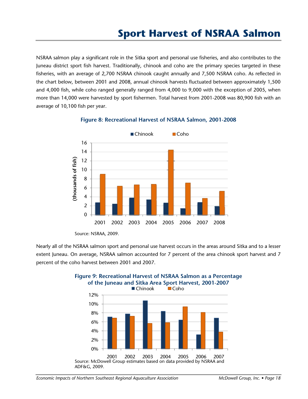NSRAA salmon play a significant role in the Sitka sport and personal use fisheries, and also contributes to the Juneau district sport fish harvest. Traditionally, chinook and coho are the primary species targeted in these fisheries, with an average of 2,700 NSRAA chinook caught annually and 7,500 NSRAA coho. As reflected in the chart below, between 2001 and 2008, annual chinook harvests fluctuated between approximately 1,500 and 4,000 fish, while coho ranged generally ranged from 4,000 to 9,000 with the exception of 2005, when more than 14,000 were harvested by sport fishermen. Total harvest from 2001-2008 was 80,900 fish with an average of 10,100 fish per year.



#### **Figure 8: Recreational Harvest of NSRAA Salmon, 2001-2008**

Nearly all of the NSRAA salmon sport and personal use harvest occurs in the areas around Sitka and to a lesser extent Juneau. On average, NSRAA salmon accounted for 7 percent of the area chinook sport harvest and 7 percent of the coho harvest between 2001 and 2007.



# **Figure 9: Recreational Harvest of NSRAA Salmon as a Percentage**

Source: NSRAA, 2009.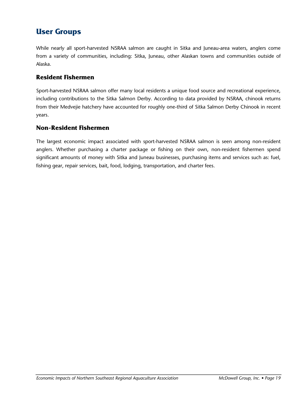# **User Groups**

While nearly all sport-harvested NSRAA salmon are caught in Sitka and Juneau-area waters, anglers come from a variety of communities, including: Sitka, Juneau, other Alaskan towns and communities outside of Alaska.

## **Resident Fishermen**

Sport-harvested NSRAA salmon offer many local residents a unique food source and recreational experience, including contributions to the Sitka Salmon Derby. According to data provided by NSRAA, chinook returns from their Medvejie hatchery have accounted for roughly one-third of Sitka Salmon Derby Chinook in recent years.

## **Non-Resident Fishermen**

The largest economic impact associated with sport-harvested NSRAA salmon is seen among non-resident anglers. Whether purchasing a charter package or fishing on their own, non-resident fishermen spend significant amounts of money with Sitka and Juneau businesses, purchasing items and services such as: fuel, fishing gear, repair services, bait, food, lodging, transportation, and charter fees.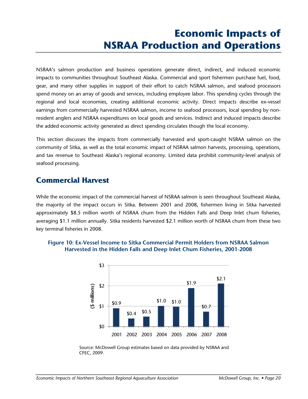# **Economic Impacts of NSRAA Production and Operations**

NSRAA's salmon production and business operations generate direct, indirect, and induced economic impacts to communities throughout Southeast Alaska. Commercial and sport fishermen purchase fuel, food, gear, and many other supplies in support of their effort to catch NSRAA salmon, and seafood processors spend money on an array of goods and services, including employee labor. This spending cycles through the regional and local economies, creating additional economic activity. Direct impacts describe ex-vessel earnings from commercially harvested NSRAA salmon, income to seafood processors, local spending by nonresident anglers and NSRAA expenditures on local goods and services. Indirect and induced impacts describe the added economic activity generated as direct spending circulates though the local economy.

This section discusses the impacts from commercially harvested and sport-caught NSRAA salmon on the community of Sitka, as well as the total economic impact of NSRAA salmon harvests, processing, operations, and tax revenue to Southeast Alaska's regional economy. Limited data prohibit community-level analysis of seafood processing.

## **Commercial Harvest**

While the economic impact of the commercial harvest of NSRAA salmon is seen throughout Southeast Alaska, the majority of the impact occurs in Sitka. Between 2001 and 2008, fishermen living in Sitka harvested approximately \$8.5 million worth of NSRAA chum from the Hidden Falls and Deep Inlet chum fisheries, averaging \$1.1 million annually. Sitka residents harvested \$2.1 million worth of NSRAA chum from these two key terminal fisheries in 2008.



## **Figure 10: Ex-Vessel Income to Sitka Commercial Permit Holders from NSRAA Salmon Harvested in the Hidden Falls and Deep Inlet Chum Fisheries, 2001-2008**

Source: McDowell Group estimates based on data provided by NSRAA and CFEC, 2009.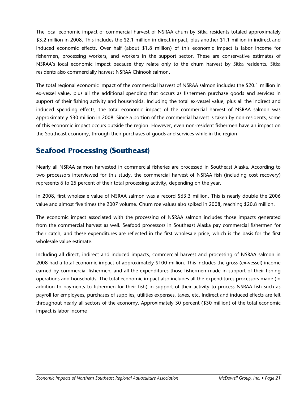The local economic impact of commercial harvest of NSRAA chum by Sitka residents totaled approximately \$3.2 million in 2008. This includes the \$2.1 million in direct impact, plus another \$1.1 million in indirect and induced economic effects. Over half (about \$1.8 million) of this economic impact is labor income for fishermen, processing workers, and workers in the support sector. These are conservative estimates of NSRAA's local economic impact because they relate only to the chum harvest by Sitka residents. Sitka residents also commercially harvest NSRAA Chinook salmon.

The total regional economic impact of the commercial harvest of NSRAA salmon includes the \$20.1 million in ex-vessel value, plus all the additional spending that occurs as fishermen purchase goods and services in support of their fishing activity and households. Including the total ex-vessel value, plus all the indirect and induced spending effects, the total economic impact of the commercial harvest of NSRAA salmon was approximately \$30 million in 2008. Since a portion of the commercial harvest is taken by non-residents, some of this economic impact occurs outside the region. However, even non-resident fishermen have an impact on the Southeast economy, through their purchases of goods and services while in the region.

# **Seafood Processing (Southeast)**

Nearly all NSRAA salmon harvested in commercial fisheries are processed in Southeast Alaska. According to two processors interviewed for this study, the commercial harvest of NSRAA fish (including cost recovery) represents 6 to 25 percent of their total processing activity, depending on the year.

In 2008, first wholesale value of NSRAA salmon was a record \$63.3 million. This is nearly double the 2006 value and almost five times the 2007 volume. Chum roe values also spiked in 2008, reaching \$20.8 million.

The economic impact associated with the processing of NSRAA salmon includes those impacts generated from the commercial harvest as well. Seafood processors in Southeast Alaska pay commercial fishermen for their catch, and these expenditures are reflected in the first wholesale price, which is the basis for the first wholesale value estimate.

Including all direct, indirect and induced impacts, commercial harvest and processing of NSRAA salmon in 2008 had a total economic impact of approximately \$100 million. This includes the gross (ex-vessel) income earned by commercial fishermen, and all the expenditures those fishermen made in support of their fishing operations and households. The total economic impact also includes all the expenditures processors made (in addition to payments to fishermen for their fish) in support of their activity to process NSRAA fish such as payroll for employees, purchases of supplies, utilities expenses, taxes, etc. Indirect and induced effects are felt throughout nearly all sectors of the economy. Approximately 30 percent (\$30 million) of the total economic impact is labor income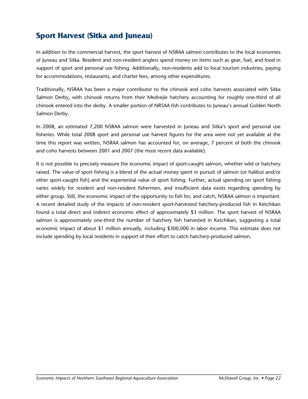# **Sport Harvest (Sitka and Juneau)**

In addition to the commercial harvest, the sport harvest of NSRAA salmon contributes to the local economies of Juneau and Sitka. Resident and non-resident anglers spend money on items such as gear, fuel, and food in support of sport and personal use fishing. Additionally, non-residents add to local tourism industries, paying for accommodations, restaurants, and charter fees, among other expenditures.

Traditionally, NSRAA has been a major contributor to the chinook and coho harvests associated with Sitka Salmon Derby, with chinook returns from their Medvejie hatchery accounting for roughly one-third of all chinook entered into the derby. A smaller portion of NRSAA fish contributes to Juneau's annual Golden North Salmon Derby.

In 2008, an estimated 7,200 NSRAA salmon were harvested in Juneau and Sitka's sport and personal use fisheries. While total 2008 sport and personal use harvest figures for the area were not yet available at the time this report was written, NSRAA salmon has accounted for, on average, 7 percent of both the chinook and coho harvests between 2001 and 2007 (the most recent data available).

It is not possible to precisely measure the economic impact of sport-caught salmon, whether wild or hatchery raised. The value of sport fishing is a blend of the actual money spent in pursuit of salmon (or halibut and/or other sport-caught fish) and the experiential value of sport fishing. Further, actual spending on sport fishing varies widely for resident and non-resident fishermen, and insufficient data exists regarding spending by either group. Still, the economic impact of the opportunity to fish for, and catch, NSRAA salmon is important. A recent detailed study of the impacts of non-resident sport-harvested hatchery-produced fish in Ketchikan found a total direct and indirect economic effect of approximately \$3 million. The sport harvest of NSRAA salmon is approximately one-third the number of hatchery fish harvested in Ketchikan, suggesting a total economic impact of about \$1 million annually, including \$300,000 in labor income. This estimate does not include spending by local residents in support of their effort to catch hatchery-produced salmon.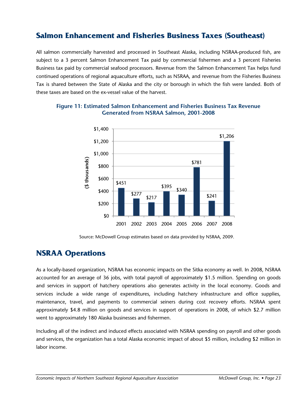# **Salmon Enhancement and Fisheries Business Taxes (Southeast)**

All salmon commercially harvested and processed in Southeast Alaska, including NSRAA-produced fish, are subject to a 3 percent Salmon Enhancement Tax paid by commercial fishermen and a 3 percent Fisheries Business tax paid by commercial seafood processors. Revenue from the Salmon Enhancement Tax helps fund continued operations of regional aquaculture efforts, such as NSRAA, and revenue from the Fisheries Business Tax is shared between the State of Alaska and the city or borough in which the fish were landed. Both of these taxes are based on the ex-vessel value of the harvest.



## **Figure 11: Estimated Salmon Enhancement and Fisheries Business Tax Revenue Generated from NSRAA Salmon, 2001-2008**

Source: McDowell Group estimates based on data provided by NSRAA, 2009.

## **NSRAA Operations**

As a locally-based organization, NSRAA has economic impacts on the Sitka economy as well. In 2008, NSRAA accounted for an average of 36 jobs, with total payroll of approximately \$1.5 million. Spending on goods and services in support of hatchery operations also generates activity in the local economy. Goods and services include a wide range of expenditures, including hatchery infrastructure and office supplies, maintenance, travel, and payments to commercial seiners during cost recovery efforts. NSRAA spent approximately \$4.8 million on goods and services in support of operations in 2008, of which \$2.7 million went to approximately 180 Alaska businesses and fishermen.

Including all of the indirect and induced effects associated with NSRAA spending on payroll and other goods and services, the organization has a total Alaska economic impact of about \$5 million, including \$2 million in labor income.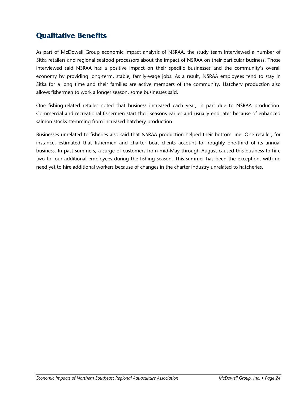# **Qualitative Benefits**

As part of McDowell Group economic impact analysis of NSRAA, the study team interviewed a number of Sitka retailers and regional seafood processors about the impact of NSRAA on their particular business. Those interviewed said NSRAA has a positive impact on their specific businesses and the community's overall economy by providing long-term, stable, family-wage jobs. As a result, NSRAA employees tend to stay in Sitka for a long time and their families are active members of the community. Hatchery production also allows fishermen to work a longer season, some businesses said.

One fishing-related retailer noted that business increased each year, in part due to NSRAA production. Commercial and recreational fishermen start their seasons earlier and usually end later because of enhanced salmon stocks stemming from increased hatchery production.

Businesses unrelated to fisheries also said that NSRAA production helped their bottom line. One retailer, for instance, estimated that fishermen and charter boat clients account for roughly one-third of its annual business. In past summers, a surge of customers from mid-May through August caused this business to hire two to four additional employees during the fishing season. This summer has been the exception, with no need yet to hire additional workers because of changes in the charter industry unrelated to hatcheries.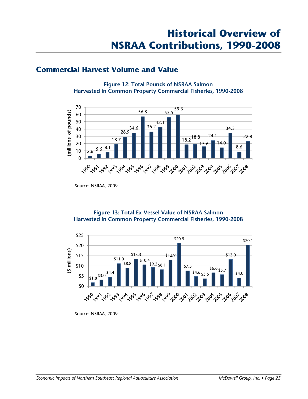## **Commercial Harvest Volume and Value**

**Figure 12: Total Pounds of NSRAA Salmon Harvested in Common Property Commercial Fisheries, 1990-2008** 



Source: NSRAA, 2009.

### **Figure 13: Total Ex-Vessel Value of NSRAA Salmon Harvested in Common Property Commercial Fisheries, 1990-2008**



Source: NSRAA, 2009.